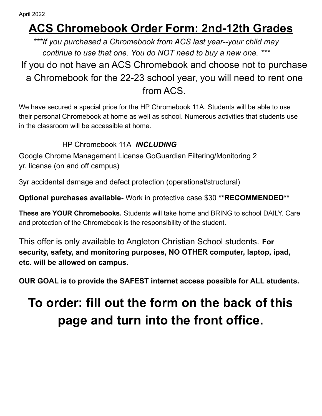## **ACS Chromebook Order Form: 2nd-12th Grades**

*\*\*\*If you purchased a Chromebook from ACS last year--your child may continue to use that one. You do NOT need to buy a new one. \*\*\** If you do not have an ACS Chromebook and choose not to purchase a Chromebook for the 22-23 school year, you will need to rent one from ACS.

We have secured a special price for the HP Chromebook 11A. Students will be able to use their personal Chromebook at home as well as school. Numerous activities that students use in the classroom will be accessible at home.

## HP Chromebook 11A *INCLUDING*

Google Chrome Management License GoGuardian Filtering/Monitoring 2 yr. license (on and off campus)

3yr accidental damage and defect protection (operational/structural)

**Optional purchases available-** Work in protective case \$30 **\*\*RECOMMENDED\*\***

**These are YOUR Chromebooks.** Students will take home and BRING to school DAILY. Care and protection of the Chromebook is the responsibility of the student.

This offer is only available to Angleton Christian School students. **For security, safety, and monitoring purposes, NO OTHER computer, laptop, ipad, etc. will be allowed on campus.**

**OUR GOAL is to provide the SAFEST internet access possible for ALL students.**

## **To order: fill out the form on the back of this page and turn into the front office.**